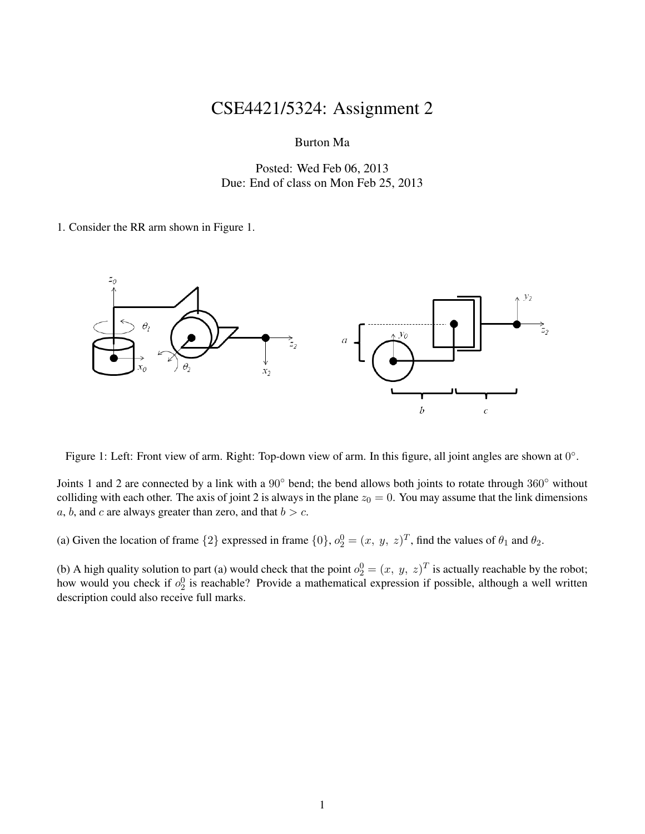## CSE4421/5324: Assignment 2

Burton Ma

Posted: Wed Feb 06, 2013 Due: End of class on Mon Feb 25, 2013

1. Consider the RR arm shown in Figure 1.



Figure 1: Left: Front view of arm. Right: Top-down view of arm. In this figure, all joint angles are shown at  $0^\circ$ .

Joints 1 and 2 are connected by a link with a 90◦ bend; the bend allows both joints to rotate through 360◦ without colliding with each other. The axis of joint 2 is always in the plane  $z_0 = 0$ . You may assume that the link dimensions a, b, and c are always greater than zero, and that  $b > c$ .

(a) Given the location of frame  $\{2\}$  expressed in frame  $\{0\}$ ,  $o_2^0 = (x, y, z)^T$ , find the values of  $\theta_1$  and  $\theta_2$ .

(b) A high quality solution to part (a) would check that the point  $o_2^0 = (x, y, z)^T$  is actually reachable by the robot; how would you check if  $o_2^0$  is reachable? Provide a mathematical expression if possible, although a well written description could also receive full marks.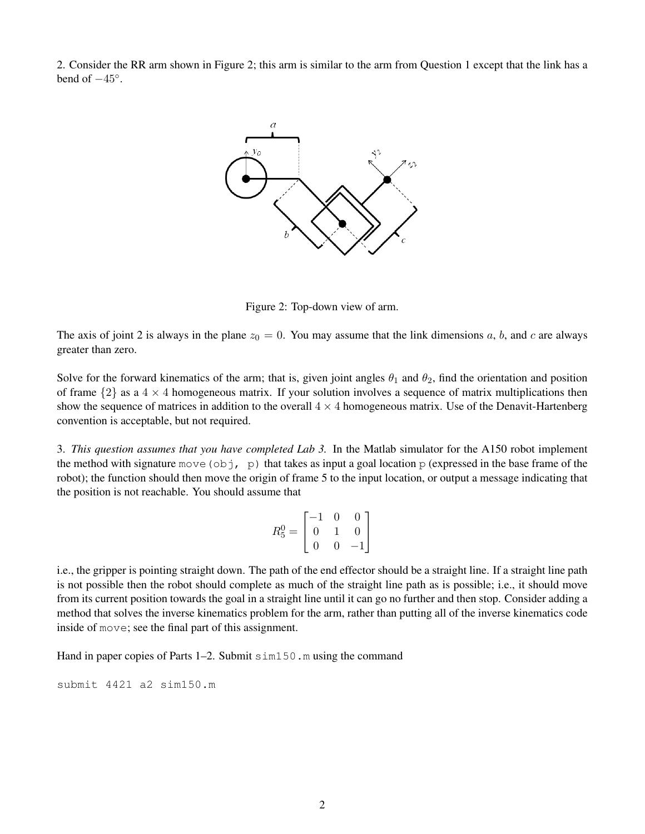2. Consider the RR arm shown in Figure 2; this arm is similar to the arm from Question 1 except that the link has a bend of  $-45^\circ$ .



Figure 2: Top-down view of arm.

The axis of joint 2 is always in the plane  $z_0 = 0$ . You may assume that the link dimensions a, b, and c are always greater than zero.

Solve for the forward kinematics of the arm; that is, given joint angles  $\theta_1$  and  $\theta_2$ , find the orientation and position of frame  $\{2\}$  as a  $4 \times 4$  homogeneous matrix. If your solution involves a sequence of matrix multiplications then show the sequence of matrices in addition to the overall  $4 \times 4$  homogeneous matrix. Use of the Denavit-Hartenberg convention is acceptable, but not required.

3. *This question assumes that you have completed Lab 3.* In the Matlab simulator for the A150 robot implement the method with signature move (obj, p) that takes as input a goal location p (expressed in the base frame of the robot); the function should then move the origin of frame 5 to the input location, or output a message indicating that the position is not reachable. You should assume that

$$
R_5^0 = \begin{bmatrix} -1 & 0 & 0 \\ 0 & 1 & 0 \\ 0 & 0 & -1 \end{bmatrix}
$$

i.e., the gripper is pointing straight down. The path of the end effector should be a straight line. If a straight line path is not possible then the robot should complete as much of the straight line path as is possible; i.e., it should move from its current position towards the goal in a straight line until it can go no further and then stop. Consider adding a method that solves the inverse kinematics problem for the arm, rather than putting all of the inverse kinematics code inside of move; see the final part of this assignment.

Hand in paper copies of Parts 1–2. Submit sim150, m using the command

submit 4421 a2 sim150.m